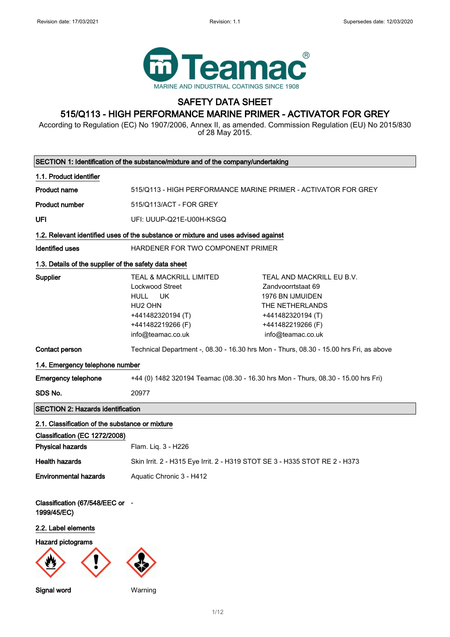

# SAFETY DATA SHEET

## 515/Q113 - HIGH PERFORMANCE MARINE PRIMER - ACTIVATOR FOR GREY

According to Regulation (EC) No 1907/2006, Annex II, as amended. Commission Regulation (EU) No 2015/830 of 28 May 2015.

| SECTION 1: Identification of the substance/mixture and of the company/undertaking  |                                                                                                                                                             |                                                                                                                                                       |
|------------------------------------------------------------------------------------|-------------------------------------------------------------------------------------------------------------------------------------------------------------|-------------------------------------------------------------------------------------------------------------------------------------------------------|
| 1.1. Product identifier                                                            |                                                                                                                                                             |                                                                                                                                                       |
| <b>Product name</b>                                                                | 515/Q113 - HIGH PERFORMANCE MARINE PRIMER - ACTIVATOR FOR GREY                                                                                              |                                                                                                                                                       |
| <b>Product number</b>                                                              | 515/Q113/ACT - FOR GREY                                                                                                                                     |                                                                                                                                                       |
| UFI                                                                                | UFI: UUUP-Q21E-U00H-KSGQ                                                                                                                                    |                                                                                                                                                       |
| 1.2. Relevant identified uses of the substance or mixture and uses advised against |                                                                                                                                                             |                                                                                                                                                       |
| <b>Identified uses</b>                                                             | HARDENER FOR TWO COMPONENT PRIMER                                                                                                                           |                                                                                                                                                       |
| 1.3. Details of the supplier of the safety data sheet                              |                                                                                                                                                             |                                                                                                                                                       |
| Supplier                                                                           | <b>TEAL &amp; MACKRILL LIMITED</b><br><b>Lockwood Street</b><br><b>HULL</b><br>UK<br>HU2 OHN<br>+441482320194 (T)<br>+441482219266 (F)<br>info@teamac.co.uk | TEAL AND MACKRILL EU B.V.<br>Zandvoorrtstaat 69<br>1976 BN IJMUIDEN<br>THE NETHERLANDS<br>+441482320194 (T)<br>+441482219266 (F)<br>info@teamac.co.uk |
| Contact person                                                                     |                                                                                                                                                             | Technical Department -, 08.30 - 16.30 hrs Mon - Thurs, 08.30 - 15.00 hrs Fri, as above                                                                |
| 1.4. Emergency telephone number                                                    |                                                                                                                                                             |                                                                                                                                                       |
| <b>Emergency telephone</b>                                                         | +44 (0) 1482 320194 Teamac (08.30 - 16.30 hrs Mon - Thurs, 08.30 - 15.00 hrs Fri)                                                                           |                                                                                                                                                       |
| SDS No.                                                                            | 20977                                                                                                                                                       |                                                                                                                                                       |
| <b>SECTION 2: Hazards identification</b>                                           |                                                                                                                                                             |                                                                                                                                                       |
| 2.1. Classification of the substance or mixture                                    |                                                                                                                                                             |                                                                                                                                                       |
| Classification (EC 1272/2008)                                                      |                                                                                                                                                             |                                                                                                                                                       |
| <b>Physical hazards</b>                                                            | Flam. Liq. 3 - H226                                                                                                                                         |                                                                                                                                                       |
| <b>Health hazards</b>                                                              | Skin Irrit. 2 - H315 Eye Irrit. 2 - H319 STOT SE 3 - H335 STOT RE 2 - H373                                                                                  |                                                                                                                                                       |
| <b>Environmental hazards</b>                                                       | Aquatic Chronic 3 - H412                                                                                                                                    |                                                                                                                                                       |
| Classification (67/548/EEC or -<br>1999/45/EC)                                     |                                                                                                                                                             |                                                                                                                                                       |
| 2.2. Label elements                                                                |                                                                                                                                                             |                                                                                                                                                       |
| <b>Hazard pictograms</b>                                                           |                                                                                                                                                             |                                                                                                                                                       |
|                                                                                    |                                                                                                                                                             |                                                                                                                                                       |

Signal word Warning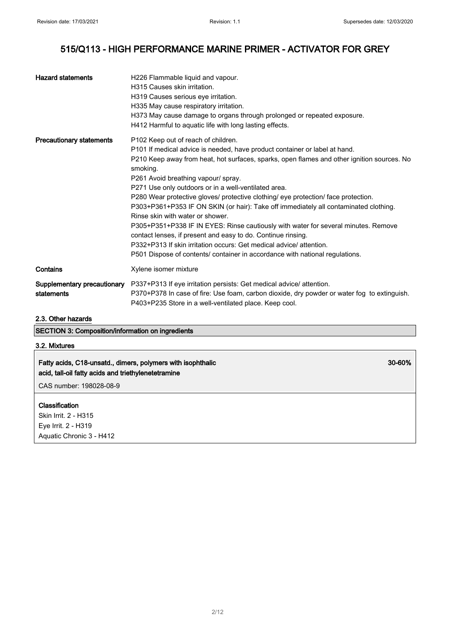30-60%

## 515/Q113 - HIGH PERFORMANCE MARINE PRIMER - ACTIVATOR FOR GREY

| <b>Hazard statements</b>                  | H226 Flammable liquid and vapour.<br>H315 Causes skin irritation.<br>H319 Causes serious eye irritation.<br>H335 May cause respiratory irritation.<br>H373 May cause damage to organs through prolonged or repeated exposure.<br>H412 Harmful to aguatic life with long lasting effects.                                                                                                                                                                                                                                                                                                                                                                                                                                                                                                                                                                 |
|-------------------------------------------|----------------------------------------------------------------------------------------------------------------------------------------------------------------------------------------------------------------------------------------------------------------------------------------------------------------------------------------------------------------------------------------------------------------------------------------------------------------------------------------------------------------------------------------------------------------------------------------------------------------------------------------------------------------------------------------------------------------------------------------------------------------------------------------------------------------------------------------------------------|
| <b>Precautionary statements</b>           | P102 Keep out of reach of children.<br>P101 If medical advice is needed, have product container or label at hand.<br>P210 Keep away from heat, hot surfaces, sparks, open flames and other ignition sources. No<br>smoking.<br>P261 Avoid breathing vapour/ spray.<br>P271 Use only outdoors or in a well-ventilated area.<br>P280 Wear protective gloves/ protective clothing/ eye protection/ face protection.<br>P303+P361+P353 IF ON SKIN (or hair): Take off immediately all contaminated clothing.<br>Rinse skin with water or shower.<br>P305+P351+P338 IF IN EYES: Rinse cautiously with water for several minutes. Remove<br>contact lenses, if present and easy to do. Continue rinsing.<br>P332+P313 If skin irritation occurs: Get medical advice/attention.<br>P501 Dispose of contents/ container in accordance with national regulations. |
| Contains                                  | Xylene isomer mixture                                                                                                                                                                                                                                                                                                                                                                                                                                                                                                                                                                                                                                                                                                                                                                                                                                    |
| Supplementary precautionary<br>statements | P337+P313 If eye irritation persists: Get medical advice/ attention.<br>P370+P378 In case of fire: Use foam, carbon dioxide, dry powder or water fog to extinguish.<br>P403+P235 Store in a well-ventilated place. Keep cool.                                                                                                                                                                                                                                                                                                                                                                                                                                                                                                                                                                                                                            |

### 2.3. Other hazards

SECTION 3: Composition/information on ingredients

## 3.2. Mixtures

## Fatty acids, C18-unsatd., dimers, polymers with isophthalic acid, tall-oil fatty acids and triethylenetetramine

CAS number: 198028-08-9

### Classification

Skin Irrit. 2 - H315 Eye Irrit. 2 - H319 Aquatic Chronic 3 - H412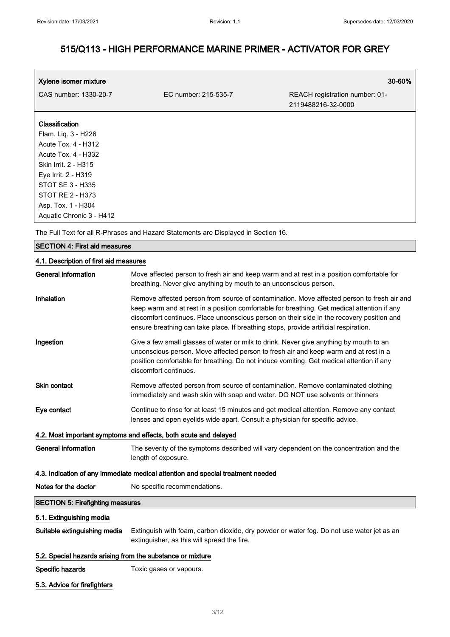| Xylene isomer mixture    |                      | 30-60%                                               |
|--------------------------|----------------------|------------------------------------------------------|
| CAS number: 1330-20-7    | EC number: 215-535-7 | REACH registration number: 01-<br>2119488216-32-0000 |
| <b>Classification</b>    |                      |                                                      |
| Flam. Liq. 3 - H226      |                      |                                                      |
| Acute Tox. 4 - H312      |                      |                                                      |
| Acute Tox. 4 - H332      |                      |                                                      |
| Skin Irrit. 2 - H315     |                      |                                                      |
| Eye Irrit. 2 - H319      |                      |                                                      |
| STOT SE 3 - H335         |                      |                                                      |
| STOT RE 2 - H373         |                      |                                                      |
| Asp. Tox. 1 - H304       |                      |                                                      |
| Aquatic Chronic 3 - H412 |                      |                                                      |

The Full Text for all R-Phrases and Hazard Statements are Displayed in Section 16.

#### SECTION 4: First aid measures

### 4.1. Description of first aid measures

| <b>General information</b>                                 | Move affected person to fresh air and keep warm and at rest in a position comfortable for<br>breathing. Never give anything by mouth to an unconscious person.                                                                                                                                                                                                                 |  |
|------------------------------------------------------------|--------------------------------------------------------------------------------------------------------------------------------------------------------------------------------------------------------------------------------------------------------------------------------------------------------------------------------------------------------------------------------|--|
| Inhalation                                                 | Remove affected person from source of contamination. Move affected person to fresh air and<br>keep warm and at rest in a position comfortable for breathing. Get medical attention if any<br>discomfort continues. Place unconscious person on their side in the recovery position and<br>ensure breathing can take place. If breathing stops, provide artificial respiration. |  |
| Ingestion                                                  | Give a few small glasses of water or milk to drink. Never give anything by mouth to an<br>unconscious person. Move affected person to fresh air and keep warm and at rest in a<br>position comfortable for breathing. Do not induce vomiting. Get medical attention if any<br>discomfort continues.                                                                            |  |
| Skin contact                                               | Remove affected person from source of contamination. Remove contaminated clothing<br>immediately and wash skin with soap and water. DO NOT use solvents or thinners                                                                                                                                                                                                            |  |
| Eye contact                                                | Continue to rinse for at least 15 minutes and get medical attention. Remove any contact<br>lenses and open eyelids wide apart. Consult a physician for specific advice.                                                                                                                                                                                                        |  |
|                                                            | 4.2. Most important symptoms and effects, both acute and delayed                                                                                                                                                                                                                                                                                                               |  |
| <b>General information</b>                                 | The severity of the symptoms described will vary dependent on the concentration and the<br>length of exposure.                                                                                                                                                                                                                                                                 |  |
|                                                            | 4.3. Indication of any immediate medical attention and special treatment needed                                                                                                                                                                                                                                                                                                |  |
| Notes for the doctor                                       | No specific recommendations.                                                                                                                                                                                                                                                                                                                                                   |  |
| <b>SECTION 5: Firefighting measures</b>                    |                                                                                                                                                                                                                                                                                                                                                                                |  |
| 5.1. Extinguishing media                                   |                                                                                                                                                                                                                                                                                                                                                                                |  |
| Suitable extinguishing media                               | Extinguish with foam, carbon dioxide, dry powder or water fog. Do not use water jet as an<br>extinguisher, as this will spread the fire.                                                                                                                                                                                                                                       |  |
| 5.2. Special hazards arising from the substance or mixture |                                                                                                                                                                                                                                                                                                                                                                                |  |
| Specific hazards                                           | Toxic gases or vapours.                                                                                                                                                                                                                                                                                                                                                        |  |

5.3. Advice for firefighters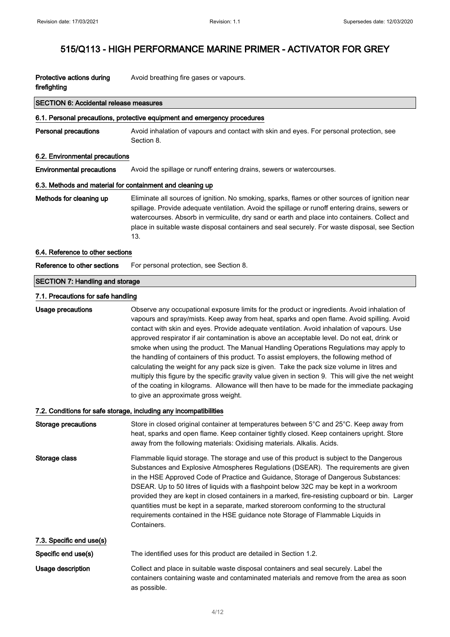| Protective actions during | Avoid breathing fire gases or vapours. |
|---------------------------|----------------------------------------|
| firefighting              |                                        |

#### SECTION 6: Accidental release measures

#### 6.1. Personal precautions, protective equipment and emergency procedures

Personal precautions Avoid inhalation of vapours and contact with skin and eyes. For personal protection, see Section 8.

#### 6.2. Environmental precautions

Environmental precautions Avoid the spillage or runoff entering drains, sewers or watercourses.

#### 6.3. Methods and material for containment and cleaning up

Methods for cleaning up Eliminate all sources of ignition. No smoking, sparks, flames or other sources of ignition near spillage. Provide adequate ventilation. Avoid the spillage or runoff entering drains, sewers or watercourses. Absorb in vermiculite, dry sand or earth and place into containers. Collect and place in suitable waste disposal containers and seal securely. For waste disposal, see Section 13.

#### 6.4. Reference to other sections

Reference to other sections For personal protection, see Section 8.

#### SECTION 7: Handling and storage

#### 7.1. Precautions for safe handling

Usage precautions **Observe any occupational exposure limits for the product or ingredients. Avoid inhalation of** vapours and spray/mists. Keep away from heat, sparks and open flame. Avoid spilling. Avoid contact with skin and eyes. Provide adequate ventilation. Avoid inhalation of vapours. Use approved respirator if air contamination is above an acceptable level. Do not eat, drink or smoke when using the product. The Manual Handling Operations Regulations may apply to the handling of containers of this product. To assist employers, the following method of calculating the weight for any pack size is given. Take the pack size volume in litres and multiply this figure by the specific gravity value given in section 9. This will give the net weight of the coating in kilograms. Allowance will then have to be made for the immediate packaging to give an approximate gross weight.

#### 7.2. Conditions for safe storage, including any incompatibilities

| Storage precautions      | Store in closed original container at temperatures between 5°C and 25°C. Keep away from<br>heat, sparks and open flame. Keep container tightly closed. Keep containers upright. Store<br>away from the following materials: Oxidising materials. Alkalis. Acids.                                                                                                                                                                                                                                                                                                                                                                                                 |
|--------------------------|------------------------------------------------------------------------------------------------------------------------------------------------------------------------------------------------------------------------------------------------------------------------------------------------------------------------------------------------------------------------------------------------------------------------------------------------------------------------------------------------------------------------------------------------------------------------------------------------------------------------------------------------------------------|
| Storage class            | Flammable liquid storage. The storage and use of this product is subject to the Dangerous<br>Substances and Explosive Atmospheres Regulations (DSEAR). The requirements are given<br>in the HSE Approved Code of Practice and Guidance, Storage of Dangerous Substances:<br>DSEAR. Up to 50 litres of liquids with a flashpoint below 32C may be kept in a workroom<br>provided they are kept in closed containers in a marked, fire-resisting cupboard or bin. Larger<br>quantities must be kept in a separate, marked storeroom conforming to the structural<br>requirements contained in the HSE guidance note Storage of Flammable Liquids in<br>Containers. |
| 7.3. Specific end use(s) |                                                                                                                                                                                                                                                                                                                                                                                                                                                                                                                                                                                                                                                                  |
| Specific end use(s)      | The identified uses for this product are detailed in Section 1.2.                                                                                                                                                                                                                                                                                                                                                                                                                                                                                                                                                                                                |
| Usage description        | Collect and place in suitable waste disposal containers and seal securely. Label the<br>containers containing waste and contaminated materials and remove from the area as soon<br>as possible.                                                                                                                                                                                                                                                                                                                                                                                                                                                                  |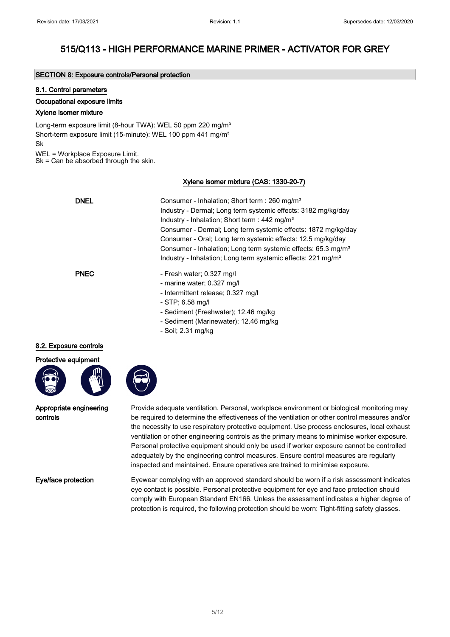#### SECTION 8: Exposure controls/Personal protection

#### 8.1. Control parameters

#### Occupational exposure limits

#### Xylene isomer mixture

Long-term exposure limit (8-hour TWA): WEL 50 ppm 220 mg/m<sup>3</sup> Short-term exposure limit (15-minute): WEL 100 ppm 441 mg/m<sup>3</sup> Sk

WEL = Workplace Exposure Limit.

Sk = Can be absorbed through the skin.

### Xylene isomer mixture (CAS: 1330-20-7)

| <b>DNEL</b> | Consumer - Inhalation; Short term : 260 mg/m <sup>3</sup><br>Industry - Dermal: Long term systemic effects: 3182 mg/kg/day<br>Industry - Inhalation; Short term : 442 mg/m <sup>3</sup><br>Consumer - Dermal; Long term systemic effects: 1872 mg/kg/day<br>Consumer - Oral; Long term systemic effects: 12.5 mg/kg/day<br>Consumer - Inhalation; Long term systemic effects: 65.3 mg/m <sup>3</sup><br>Industry - Inhalation; Long term systemic effects: 221 mg/m <sup>3</sup> |
|-------------|----------------------------------------------------------------------------------------------------------------------------------------------------------------------------------------------------------------------------------------------------------------------------------------------------------------------------------------------------------------------------------------------------------------------------------------------------------------------------------|
| <b>PNEC</b> | - Fresh water; 0.327 mg/l<br>- marine water; 0.327 mg/l<br>- Intermittent release; 0.327 mg/l<br>- STP; 6.58 mg/l<br>- Sediment (Freshwater); 12.46 mg/kg                                                                                                                                                                                                                                                                                                                        |

- Sediment (Marinewater); 12.46 mg/kg
- Soil; 2.31 mg/kg

#### 8.2. Exposure controls

Protective equipment



Appropriate engineering controls

Provide adequate ventilation. Personal, workplace environment or biological monitoring may be required to determine the effectiveness of the ventilation or other control measures and/or the necessity to use respiratory protective equipment. Use process enclosures, local exhaust ventilation or other engineering controls as the primary means to minimise worker exposure. Personal protective equipment should only be used if worker exposure cannot be controlled adequately by the engineering control measures. Ensure control measures are regularly inspected and maintained. Ensure operatives are trained to minimise exposure.

Eye/face protection Eyewear complying with an approved standard should be worn if a risk assessment indicates eye contact is possible. Personal protective equipment for eye and face protection should comply with European Standard EN166. Unless the assessment indicates a higher degree of protection is required, the following protection should be worn: Tight-fitting safety glasses.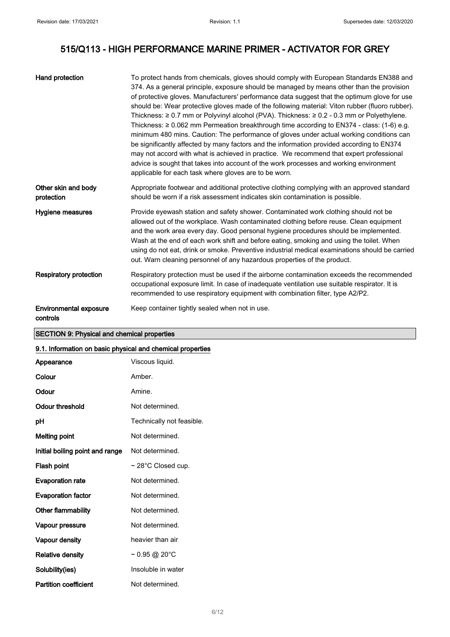| Hand protection                           | To protect hands from chemicals, gloves should comply with European Standards EN388 and<br>374. As a general principle, exposure should be managed by means other than the provision<br>of protective gloves. Manufacturers' performance data suggest that the optimum glove for use<br>should be: Wear protective gloves made of the following material: Viton rubber (fluoro rubber).<br>Thickness: $\geq 0.7$ mm or Polyvinyl alcohol (PVA). Thickness: $\geq 0.2$ - 0.3 mm or Polyethylene.<br>Thickness: $\geq 0.062$ mm Permeation breakthrough time according to EN374 - class: (1-6) e.g.<br>minimum 480 mins. Caution: The performance of gloves under actual working conditions can<br>be significantly affected by many factors and the information provided according to EN374<br>may not accord with what is achieved in practice. We recommend that expert professional<br>advice is sought that takes into account of the work processes and working environment<br>applicable for each task where gloves are to be worn. |
|-------------------------------------------|------------------------------------------------------------------------------------------------------------------------------------------------------------------------------------------------------------------------------------------------------------------------------------------------------------------------------------------------------------------------------------------------------------------------------------------------------------------------------------------------------------------------------------------------------------------------------------------------------------------------------------------------------------------------------------------------------------------------------------------------------------------------------------------------------------------------------------------------------------------------------------------------------------------------------------------------------------------------------------------------------------------------------------------|
| Other skin and body<br>protection         | Appropriate footwear and additional protective clothing complying with an approved standard<br>should be worn if a risk assessment indicates skin contamination is possible.                                                                                                                                                                                                                                                                                                                                                                                                                                                                                                                                                                                                                                                                                                                                                                                                                                                             |
| <b>Hygiene measures</b>                   | Provide eyewash station and safety shower. Contaminated work clothing should not be<br>allowed out of the workplace. Wash contaminated clothing before reuse. Clean equipment<br>and the work area every day. Good personal hygiene procedures should be implemented.<br>Wash at the end of each work shift and before eating, smoking and using the toilet. When<br>using do not eat, drink or smoke. Preventive industrial medical examinations should be carried<br>out. Warn cleaning personnel of any hazardous properties of the product.                                                                                                                                                                                                                                                                                                                                                                                                                                                                                          |
| <b>Respiratory protection</b>             | Respiratory protection must be used if the airborne contamination exceeds the recommended<br>occupational exposure limit. In case of inadequate ventilation use suitable respirator. It is<br>recommended to use respiratory equipment with combination filter, type A2/P2.                                                                                                                                                                                                                                                                                                                                                                                                                                                                                                                                                                                                                                                                                                                                                              |
| <b>Environmental exposure</b><br>controls | Keep container tightly sealed when not in use.                                                                                                                                                                                                                                                                                                                                                                                                                                                                                                                                                                                                                                                                                                                                                                                                                                                                                                                                                                                           |

## SECTION 9: Physical and chemical properties

#### 9.1. Information on basic physical and chemical properties

| Appearance                      | Viscous liquid.                            |  |
|---------------------------------|--------------------------------------------|--|
| Colour                          | Amber.                                     |  |
| Odour                           | Amine.                                     |  |
| Odour threshold                 | Not determined.                            |  |
| pH                              | Technically not feasible.                  |  |
| <b>Melting point</b>            | Not determined.                            |  |
| Initial boiling point and range | Not determined.                            |  |
| Flash point                     | $\sim$ 28°C Closed cup.                    |  |
| <b>Evaporation rate</b>         | Not determined.                            |  |
| <b>Evaporation factor</b>       | Not determined.                            |  |
| Other flammability              | Not determined.                            |  |
| Vapour pressure                 | Not determined.                            |  |
| Vapour density                  | heavier than air                           |  |
| <b>Relative density</b>         | $\sim 0.95 \text{ @ } 20^{\circ} \text{C}$ |  |
| Solubility(ies)                 | Insoluble in water                         |  |
| <b>Partition coefficient</b>    | Not determined.                            |  |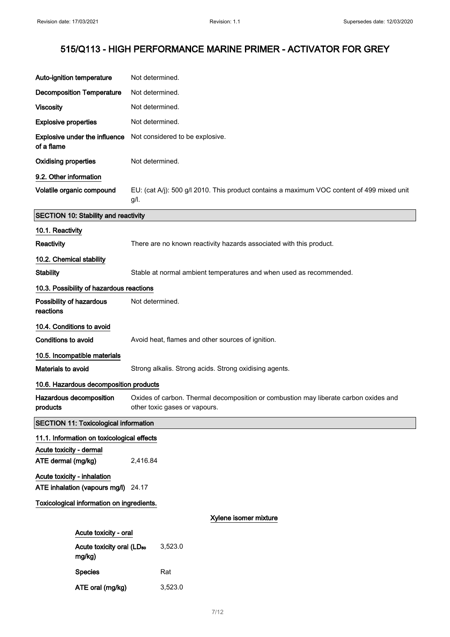| Auto-ignition temperature                       | Not determined.                                                                                                       |  |  |
|-------------------------------------------------|-----------------------------------------------------------------------------------------------------------------------|--|--|
| <b>Decomposition Temperature</b>                | Not determined.                                                                                                       |  |  |
| <b>Viscosity</b>                                | Not determined.                                                                                                       |  |  |
| <b>Explosive properties</b>                     | Not determined.                                                                                                       |  |  |
| Explosive under the influence<br>of a flame     | Not considered to be explosive.                                                                                       |  |  |
| <b>Oxidising properties</b>                     | Not determined.                                                                                                       |  |  |
| 9.2. Other information                          |                                                                                                                       |  |  |
| Volatile organic compound                       | EU: (cat A/j): 500 g/l 2010. This product contains a maximum VOC content of 499 mixed unit<br>g/l.                    |  |  |
| <b>SECTION 10: Stability and reactivity</b>     |                                                                                                                       |  |  |
| 10.1. Reactivity                                |                                                                                                                       |  |  |
| Reactivity                                      | There are no known reactivity hazards associated with this product.                                                   |  |  |
| 10.2. Chemical stability                        |                                                                                                                       |  |  |
| <b>Stability</b>                                | Stable at normal ambient temperatures and when used as recommended.                                                   |  |  |
| 10.3. Possibility of hazardous reactions        |                                                                                                                       |  |  |
| Possibility of hazardous<br>reactions           | Not determined.                                                                                                       |  |  |
| 10.4. Conditions to avoid                       |                                                                                                                       |  |  |
| <b>Conditions to avoid</b>                      | Avoid heat, flames and other sources of ignition.                                                                     |  |  |
| 10.5. Incompatible materials                    |                                                                                                                       |  |  |
| Materials to avoid                              | Strong alkalis. Strong acids. Strong oxidising agents.                                                                |  |  |
| 10.6. Hazardous decomposition products          |                                                                                                                       |  |  |
| Hazardous decomposition<br>products             | Oxides of carbon. Thermal decomposition or combustion may liberate carbon oxides and<br>other toxic gases or vapours. |  |  |
| <b>SECTION 11: Toxicological information</b>    |                                                                                                                       |  |  |
| 11.1. Information on toxicological effects      |                                                                                                                       |  |  |
| Acute toxicity - dermal<br>ATE dermal (mg/kg)   | 2,416.84                                                                                                              |  |  |
| Acute toxicity - inhalation                     |                                                                                                                       |  |  |
| ATE inhalation (vapours mg/l) 24.17             |                                                                                                                       |  |  |
| Toxicological information on ingredients.       |                                                                                                                       |  |  |
|                                                 | Xylene isomer mixture                                                                                                 |  |  |
| Acute toxicity - oral                           |                                                                                                                       |  |  |
| Acute toxicity oral (LD <sub>50</sub><br>mg/kg) | 3,523.0                                                                                                               |  |  |
| <b>Species</b>                                  | Rat                                                                                                                   |  |  |
| ATE oral (mg/kg)                                | 3,523.0                                                                                                               |  |  |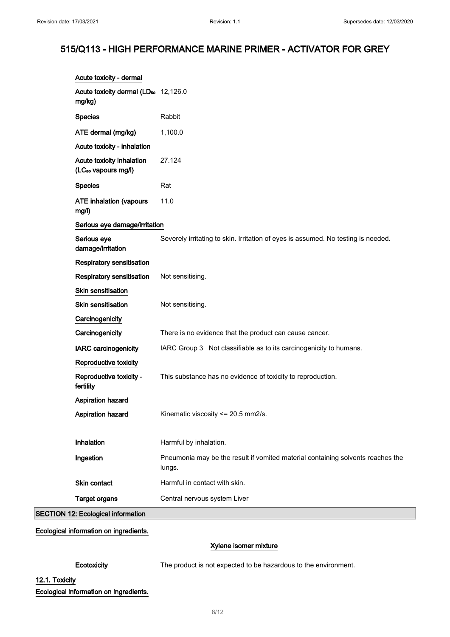| Acute toxicity - dermal                                      |                                                                                           |
|--------------------------------------------------------------|-------------------------------------------------------------------------------------------|
| Acute toxicity dermal (LD <sub>50</sub> 12,126.0<br>mg/kg)   |                                                                                           |
| <b>Species</b>                                               | Rabbit                                                                                    |
| ATE dermal (mg/kg)                                           | 1,100.0                                                                                   |
| Acute toxicity - inhalation                                  |                                                                                           |
| Acute toxicity inhalation<br>(LC <sub>50</sub> vapours mg/l) | 27.124                                                                                    |
| <b>Species</b>                                               | Rat                                                                                       |
| <b>ATE inhalation (vapours</b><br>mg/l)                      | 11.0                                                                                      |
| Serious eye damage/irritation                                |                                                                                           |
| Serious eye<br>damage/irritation                             | Severely irritating to skin. Irritation of eyes is assumed. No testing is needed.         |
| <b>Respiratory sensitisation</b>                             |                                                                                           |
| Respiratory sensitisation                                    | Not sensitising.                                                                          |
| Skin sensitisation                                           |                                                                                           |
| <b>Skin sensitisation</b>                                    | Not sensitising.                                                                          |
| Carcinogenicity                                              |                                                                                           |
| Carcinogenicity                                              | There is no evidence that the product can cause cancer.                                   |
| <b>IARC</b> carcinogenicity                                  | IARC Group 3 Not classifiable as to its carcinogenicity to humans.                        |
| Reproductive toxicity                                        |                                                                                           |
| Reproductive toxicity -<br>fertility                         | This substance has no evidence of toxicity to reproduction.                               |
| Aspiration hazard                                            |                                                                                           |
| Aspiration hazard                                            | Kinematic viscosity <= 20.5 mm2/s.                                                        |
|                                                              |                                                                                           |
| Inhalation                                                   | Harmful by inhalation.                                                                    |
| Ingestion                                                    | Pneumonia may be the result if vomited material containing solvents reaches the<br>lungs. |
| Skin contact                                                 | Harmful in contact with skin.                                                             |
| <b>Target organs</b>                                         | Central nervous system Liver                                                              |
| <b>SECTION 12: Ecological information</b>                    |                                                                                           |

Ecological information on ingredients.

### Xylene isomer mixture

Ecotoxicity The product is not expected to be hazardous to the environment.

## 12.1. Toxicity

Ecological information on ingredients.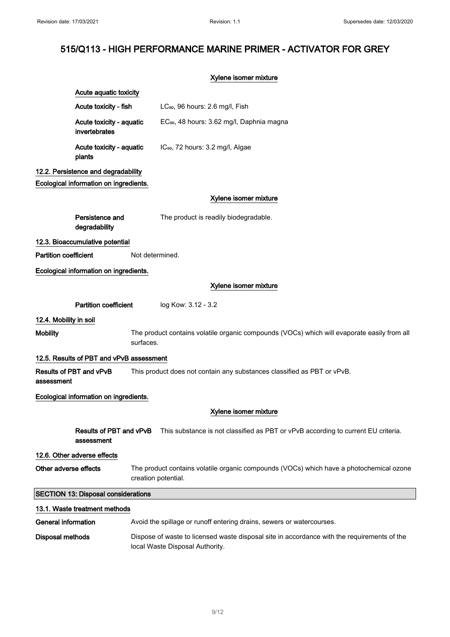|                                            |                                                                                                                                                              | Xylene isomer mixture                                                                                                          |  |
|--------------------------------------------|--------------------------------------------------------------------------------------------------------------------------------------------------------------|--------------------------------------------------------------------------------------------------------------------------------|--|
|                                            | Acute aquatic toxicity                                                                                                                                       |                                                                                                                                |  |
|                                            | Acute toxicity - fish                                                                                                                                        | LC <sub>50</sub> , 96 hours: 2.6 mg/l, Fish                                                                                    |  |
|                                            | Acute toxicity - aquatic<br>invertebrates                                                                                                                    | EC <sub>50</sub> , 48 hours: 3.62 mg/l, Daphnia magna                                                                          |  |
|                                            | Acute toxicity - aquatic<br>plants                                                                                                                           | IC <sub>50</sub> , 72 hours: 3.2 mg/l, Algae                                                                                   |  |
|                                            | 12.2. Persistence and degradability<br>Ecological information on ingredients.                                                                                |                                                                                                                                |  |
|                                            |                                                                                                                                                              | Xylene isomer mixture                                                                                                          |  |
|                                            |                                                                                                                                                              |                                                                                                                                |  |
|                                            | Persistence and<br>degradability                                                                                                                             | The product is readily biodegradable.                                                                                          |  |
|                                            | 12.3. Bioaccumulative potential                                                                                                                              |                                                                                                                                |  |
| <b>Partition coefficient</b>               |                                                                                                                                                              | Not determined.                                                                                                                |  |
|                                            | Ecological information on ingredients.                                                                                                                       |                                                                                                                                |  |
|                                            |                                                                                                                                                              | Xylene isomer mixture                                                                                                          |  |
|                                            | <b>Partition coefficient</b>                                                                                                                                 | log Kow: 3.12 - 3.2                                                                                                            |  |
| 12.4. Mobility in soil                     |                                                                                                                                                              |                                                                                                                                |  |
| <b>Mobility</b>                            |                                                                                                                                                              | The product contains volatile organic compounds (VOCs) which will evaporate easily from all<br>surfaces.                       |  |
|                                            |                                                                                                                                                              |                                                                                                                                |  |
|                                            | 12.5. Results of PBT and vPvB assessment<br>This product does not contain any substances classified as PBT or vPvB.<br>Results of PBT and vPvB<br>assessment |                                                                                                                                |  |
|                                            | Ecological information on ingredients.                                                                                                                       |                                                                                                                                |  |
|                                            |                                                                                                                                                              | Xylene isomer mixture                                                                                                          |  |
|                                            | Results of PBT and vPvB<br>assessment                                                                                                                        | This substance is not classified as PBT or vPvB according to current EU criteria.                                              |  |
|                                            | 12.6. Other adverse effects                                                                                                                                  |                                                                                                                                |  |
| Other adverse effects                      |                                                                                                                                                              | The product contains volatile organic compounds (VOCs) which have a photochemical ozone<br>creation potential.                 |  |
| <b>SECTION 13: Disposal considerations</b> |                                                                                                                                                              |                                                                                                                                |  |
|                                            | 13.1. Waste treatment methods                                                                                                                                |                                                                                                                                |  |
| <b>General information</b>                 |                                                                                                                                                              | Avoid the spillage or runoff entering drains, sewers or watercourses.                                                          |  |
| <b>Disposal methods</b>                    |                                                                                                                                                              | Dispose of waste to licensed waste disposal site in accordance with the requirements of the<br>local Waste Disposal Authority. |  |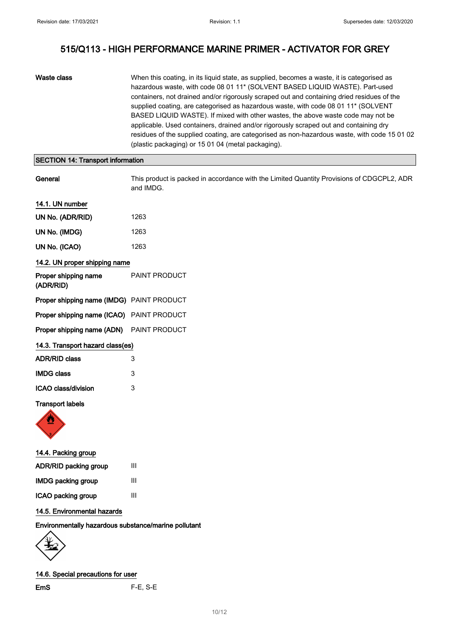| Waste class | When this coating, in its liquid state, as supplied, becomes a waste, it is categorised as<br>hazardous waste, with code 08 01 11* (SOLVENT BASED LIQUID WASTE). Part-used<br>containers, not drained and/or rigorously scraped out and containing dried residues of the<br>supplied coating, are categorised as hazardous waste, with code 08 01 11* (SOLVENT<br>BASED LIQUID WASTE). If mixed with other wastes, the above waste code may not be<br>applicable. Used containers, drained and/or rigorously scraped out and containing dry<br>residues of the supplied coating, are categorised as non-hazardous waste, with code 15 01 02<br>(plastic packaging) or 15 01 04 (metal packaging). |
|-------------|---------------------------------------------------------------------------------------------------------------------------------------------------------------------------------------------------------------------------------------------------------------------------------------------------------------------------------------------------------------------------------------------------------------------------------------------------------------------------------------------------------------------------------------------------------------------------------------------------------------------------------------------------------------------------------------------------|
|-------------|---------------------------------------------------------------------------------------------------------------------------------------------------------------------------------------------------------------------------------------------------------------------------------------------------------------------------------------------------------------------------------------------------------------------------------------------------------------------------------------------------------------------------------------------------------------------------------------------------------------------------------------------------------------------------------------------------|

## SECTION 14: Transport information

| General                                   | This product is packed in accordance with the Limited Quantity Provisions of CDGCPL2, ADR<br>and IMDG. |  |
|-------------------------------------------|--------------------------------------------------------------------------------------------------------|--|
| 14.1. UN number                           |                                                                                                        |  |
| UN No. (ADR/RID)                          | 1263                                                                                                   |  |
| UN No. (IMDG)                             | 1263                                                                                                   |  |
| UN No. (ICAO)                             | 1263                                                                                                   |  |
| 14.2. UN proper shipping name             |                                                                                                        |  |
| Proper shipping name<br>(ADR/RID)         | PAINT PRODUCT                                                                                          |  |
| Proper shipping name (IMDG) PAINT PRODUCT |                                                                                                        |  |
| Proper shipping name (ICAO) PAINT PRODUCT |                                                                                                        |  |
| Proper shipping name (ADN)                | PAINT PRODUCT                                                                                          |  |
| 14.3. Transport hazard class(es)          |                                                                                                        |  |
| <b>ADR/RID class</b>                      | 3                                                                                                      |  |
| <b>IMDG class</b>                         | 3                                                                                                      |  |
| <b>ICAO class/division</b>                | 3                                                                                                      |  |
| <b>Transport labels</b><br><b>SAR</b>     |                                                                                                        |  |



| 14.4. Packing group       |   |  |
|---------------------------|---|--|
| ADR/RID packing group     | Ш |  |
| <b>IMDG packing group</b> | Ш |  |
| ICAO packing group        | Ш |  |
|                           |   |  |

### 14.5. Environmental hazards

### Environmentally hazardous substance/marine pollutant



14.6. Special precautions for user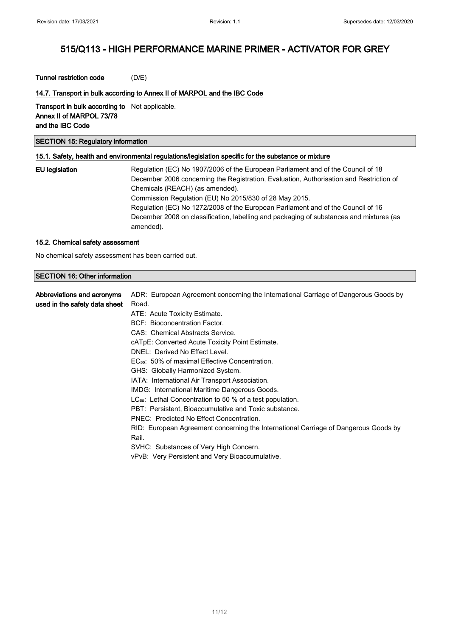#### Tunnel restriction code (D/E)

#### 14.7. Transport in bulk according to Annex II of MARPOL and the IBC Code

Transport in bulk according to Not applicable. Annex II of MARPOL 73/78 and the IBC Code

## SECTION 15: Regulatory information

#### 15.1. Safety, health and environmental regulations/legislation specific for the substance or mixture

| EU legislation | Regulation (EC) No 1907/2006 of the European Parliament and of the Council of 18        |
|----------------|-----------------------------------------------------------------------------------------|
|                | December 2006 concerning the Registration, Evaluation, Authorisation and Restriction of |
|                | Chemicals (REACH) (as amended).                                                         |
|                | Commission Regulation (EU) No 2015/830 of 28 May 2015.                                  |
|                | Regulation (EC) No 1272/2008 of the European Parliament and of the Council of 16        |
|                | December 2008 on classification, labelling and packaging of substances and mixtures (as |
|                | amended).                                                                               |

#### 15.2. Chemical safety assessment

No chemical safety assessment has been carried out.

#### SECTION 16: Other information

| Abbreviations and acronyms    | ADR: European Agreement concerning the International Carriage of Dangerous Goods by |
|-------------------------------|-------------------------------------------------------------------------------------|
| used in the safety data sheet | Road.                                                                               |
|                               | ATE: Acute Toxicity Estimate.                                                       |
|                               | BCF: Bioconcentration Factor.                                                       |
|                               | CAS: Chemical Abstracts Service.                                                    |
|                               | cATpE: Converted Acute Toxicity Point Estimate.                                     |
|                               | DNEL: Derived No Effect Level.                                                      |
|                               | EC <sub>50</sub> : 50% of maximal Effective Concentration.                          |
|                               | GHS: Globally Harmonized System.                                                    |
|                               | IATA: International Air Transport Association.                                      |
|                               | IMDG: International Maritime Dangerous Goods.                                       |
|                               | LC <sub>50</sub> : Lethal Concentration to 50 % of a test population.               |
|                               | PBT: Persistent. Bioaccumulative and Toxic substance.                               |
|                               | PNEC: Predicted No Effect Concentration.                                            |
|                               | RID: European Agreement concerning the International Carriage of Dangerous Goods by |
|                               | Rail.                                                                               |
|                               | SVHC: Substances of Very High Concern.                                              |
|                               | vPvB: Very Persistent and Very Bioaccumulative.                                     |